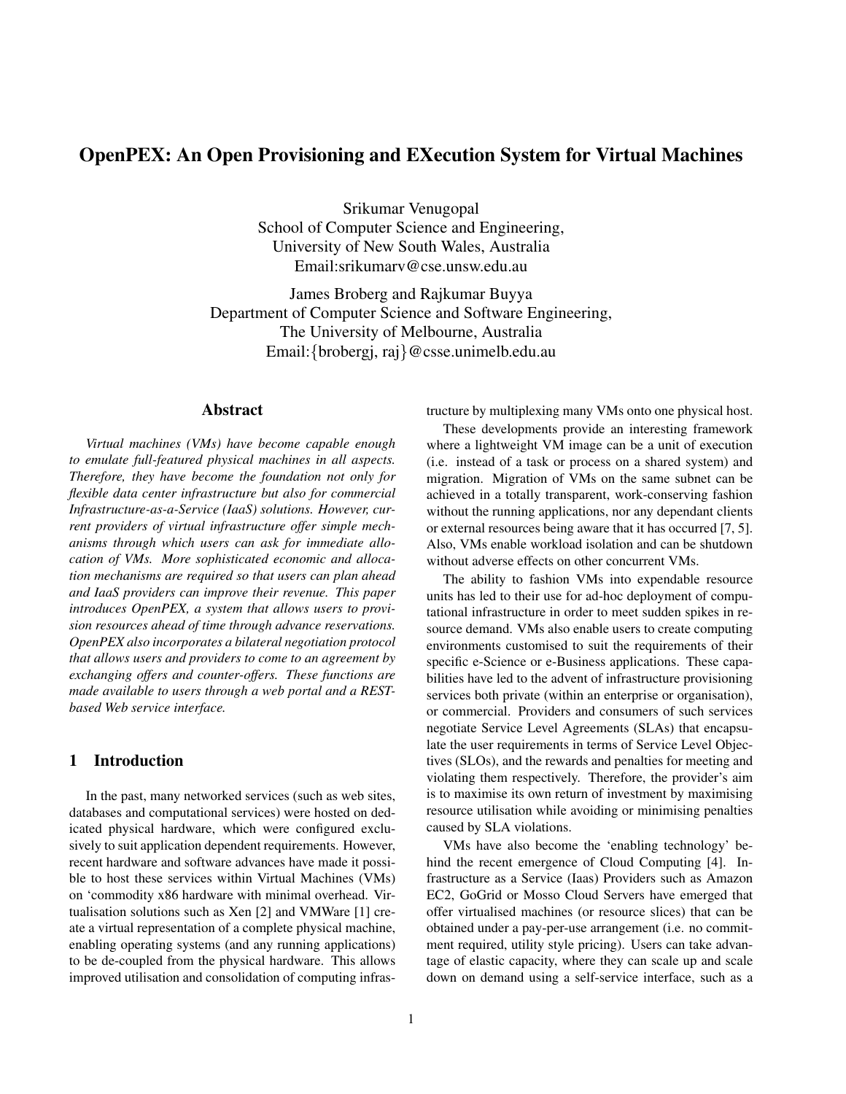# OpenPEX: An Open Provisioning and EXecution System for Virtual Machines

Srikumar Venugopal School of Computer Science and Engineering, University of New South Wales, Australia Email:srikumarv@cse.unsw.edu.au

James Broberg and Rajkumar Buyya Department of Computer Science and Software Engineering, The University of Melbourne, Australia Email:{brobergj, raj}@csse.unimelb.edu.au

# Abstract

*Virtual machines (VMs) have become capable enough to emulate full-featured physical machines in all aspects. Therefore, they have become the foundation not only for flexible data center infrastructure but also for commercial Infrastructure-as-a-Service (IaaS) solutions. However, current providers of virtual infrastructure offer simple mechanisms through which users can ask for immediate allocation of VMs. More sophisticated economic and allocation mechanisms are required so that users can plan ahead and IaaS providers can improve their revenue. This paper introduces OpenPEX, a system that allows users to provision resources ahead of time through advance reservations. OpenPEX also incorporates a bilateral negotiation protocol that allows users and providers to come to an agreement by exchanging offers and counter-offers. These functions are made available to users through a web portal and a RESTbased Web service interface.*

# 1 Introduction

In the past, many networked services (such as web sites, databases and computational services) were hosted on dedicated physical hardware, which were configured exclusively to suit application dependent requirements. However, recent hardware and software advances have made it possible to host these services within Virtual Machines (VMs) on 'commodity x86 hardware with minimal overhead. Virtualisation solutions such as Xen [2] and VMWare [1] create a virtual representation of a complete physical machine, enabling operating systems (and any running applications) to be de-coupled from the physical hardware. This allows improved utilisation and consolidation of computing infrastructure by multiplexing many VMs onto one physical host.

These developments provide an interesting framework where a lightweight VM image can be a unit of execution (i.e. instead of a task or process on a shared system) and migration. Migration of VMs on the same subnet can be achieved in a totally transparent, work-conserving fashion without the running applications, nor any dependant clients or external resources being aware that it has occurred [7, 5]. Also, VMs enable workload isolation and can be shutdown without adverse effects on other concurrent VMs.

The ability to fashion VMs into expendable resource units has led to their use for ad-hoc deployment of computational infrastructure in order to meet sudden spikes in resource demand. VMs also enable users to create computing environments customised to suit the requirements of their specific e-Science or e-Business applications. These capabilities have led to the advent of infrastructure provisioning services both private (within an enterprise or organisation), or commercial. Providers and consumers of such services negotiate Service Level Agreements (SLAs) that encapsulate the user requirements in terms of Service Level Objectives (SLOs), and the rewards and penalties for meeting and violating them respectively. Therefore, the provider's aim is to maximise its own return of investment by maximising resource utilisation while avoiding or minimising penalties caused by SLA violations.

VMs have also become the 'enabling technology' behind the recent emergence of Cloud Computing [4]. Infrastructure as a Service (Iaas) Providers such as Amazon EC2, GoGrid or Mosso Cloud Servers have emerged that offer virtualised machines (or resource slices) that can be obtained under a pay-per-use arrangement (i.e. no commitment required, utility style pricing). Users can take advantage of elastic capacity, where they can scale up and scale down on demand using a self-service interface, such as a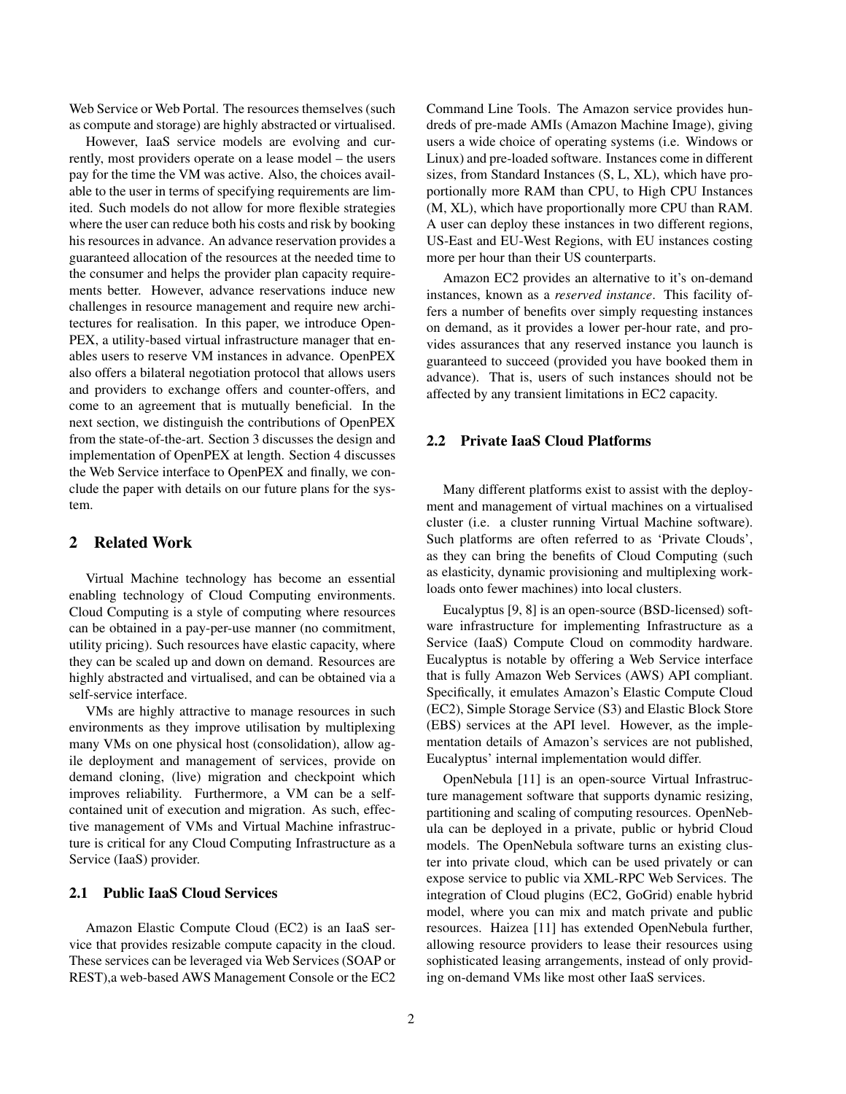Web Service or Web Portal. The resources themselves (such as compute and storage) are highly abstracted or virtualised.

However, IaaS service models are evolving and currently, most providers operate on a lease model – the users pay for the time the VM was active. Also, the choices available to the user in terms of specifying requirements are limited. Such models do not allow for more flexible strategies where the user can reduce both his costs and risk by booking his resources in advance. An advance reservation provides a guaranteed allocation of the resources at the needed time to the consumer and helps the provider plan capacity requirements better. However, advance reservations induce new challenges in resource management and require new architectures for realisation. In this paper, we introduce Open-PEX, a utility-based virtual infrastructure manager that enables users to reserve VM instances in advance. OpenPEX also offers a bilateral negotiation protocol that allows users and providers to exchange offers and counter-offers, and come to an agreement that is mutually beneficial. In the next section, we distinguish the contributions of OpenPEX from the state-of-the-art. Section 3 discusses the design and implementation of OpenPEX at length. Section 4 discusses the Web Service interface to OpenPEX and finally, we conclude the paper with details on our future plans for the system.

### 2 Related Work

Virtual Machine technology has become an essential enabling technology of Cloud Computing environments. Cloud Computing is a style of computing where resources can be obtained in a pay-per-use manner (no commitment, utility pricing). Such resources have elastic capacity, where they can be scaled up and down on demand. Resources are highly abstracted and virtualised, and can be obtained via a self-service interface.

VMs are highly attractive to manage resources in such environments as they improve utilisation by multiplexing many VMs on one physical host (consolidation), allow agile deployment and management of services, provide on demand cloning, (live) migration and checkpoint which improves reliability. Furthermore, a VM can be a selfcontained unit of execution and migration. As such, effective management of VMs and Virtual Machine infrastructure is critical for any Cloud Computing Infrastructure as a Service (IaaS) provider.

#### 2.1 Public IaaS Cloud Services

Amazon Elastic Compute Cloud (EC2) is an IaaS service that provides resizable compute capacity in the cloud. These services can be leveraged via Web Services (SOAP or REST),a web-based AWS Management Console or the EC2 Command Line Tools. The Amazon service provides hundreds of pre-made AMIs (Amazon Machine Image), giving users a wide choice of operating systems (i.e. Windows or Linux) and pre-loaded software. Instances come in different sizes, from Standard Instances (S, L, XL), which have proportionally more RAM than CPU, to High CPU Instances (M, XL), which have proportionally more CPU than RAM. A user can deploy these instances in two different regions, US-East and EU-West Regions, with EU instances costing more per hour than their US counterparts.

Amazon EC2 provides an alternative to it's on-demand instances, known as a *reserved instance*. This facility offers a number of benefits over simply requesting instances on demand, as it provides a lower per-hour rate, and provides assurances that any reserved instance you launch is guaranteed to succeed (provided you have booked them in advance). That is, users of such instances should not be affected by any transient limitations in EC2 capacity.

### 2.2 Private IaaS Cloud Platforms

Many different platforms exist to assist with the deployment and management of virtual machines on a virtualised cluster (i.e. a cluster running Virtual Machine software). Such platforms are often referred to as 'Private Clouds', as they can bring the benefits of Cloud Computing (such as elasticity, dynamic provisioning and multiplexing workloads onto fewer machines) into local clusters.

Eucalyptus [9, 8] is an open-source (BSD-licensed) software infrastructure for implementing Infrastructure as a Service (IaaS) Compute Cloud on commodity hardware. Eucalyptus is notable by offering a Web Service interface that is fully Amazon Web Services (AWS) API compliant. Specifically, it emulates Amazon's Elastic Compute Cloud (EC2), Simple Storage Service (S3) and Elastic Block Store (EBS) services at the API level. However, as the implementation details of Amazon's services are not published, Eucalyptus' internal implementation would differ.

OpenNebula [11] is an open-source Virtual Infrastructure management software that supports dynamic resizing, partitioning and scaling of computing resources. OpenNebula can be deployed in a private, public or hybrid Cloud models. The OpenNebula software turns an existing cluster into private cloud, which can be used privately or can expose service to public via XML-RPC Web Services. The integration of Cloud plugins (EC2, GoGrid) enable hybrid model, where you can mix and match private and public resources. Haizea [11] has extended OpenNebula further, allowing resource providers to lease their resources using sophisticated leasing arrangements, instead of only providing on-demand VMs like most other IaaS services.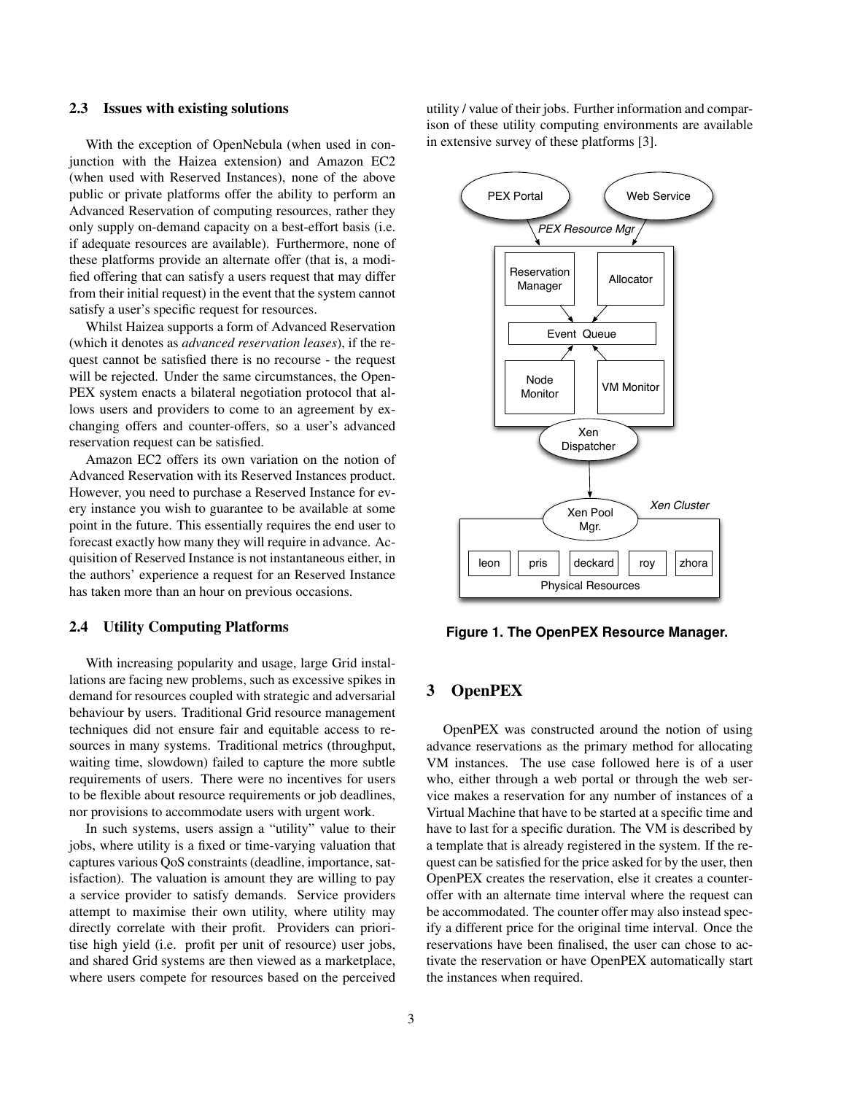#### 2.3 Issues with existing solutions

With the exception of OpenNebula (when used in conjunction with the Haizea extension) and Amazon EC2 (when used with Reserved Instances), none of the above public or private platforms offer the ability to perform an Advanced Reservation of computing resources, rather they only supply on-demand capacity on a best-effort basis (i.e. if adequate resources are available). Furthermore, none of these platforms provide an alternate offer (that is, a modified offering that can satisfy a users request that may differ from their initial request) in the event that the system cannot satisfy a user's specific request for resources.

Whilst Haizea supports a form of Advanced Reservation (which it denotes as *advanced reservation leases*), if the request cannot be satisfied there is no recourse - the request will be rejected. Under the same circumstances, the Open-PEX system enacts a bilateral negotiation protocol that allows users and providers to come to an agreement by exchanging offers and counter-offers, so a user's advanced reservation request can be satisfied.

Amazon EC2 offers its own variation on the notion of Advanced Reservation with its Reserved Instances product. However, you need to purchase a Reserved Instance for every instance you wish to guarantee to be available at some point in the future. This essentially requires the end user to forecast exactly how many they will require in advance. Acquisition of Reserved Instance is not instantaneous either, in the authors' experience a request for an Reserved Instance has taken more than an hour on previous occasions.

#### 2.4 Utility Computing Platforms

With increasing popularity and usage, large Grid installations are facing new problems, such as excessive spikes in demand for resources coupled with strategic and adversarial behaviour by users. Traditional Grid resource management techniques did not ensure fair and equitable access to resources in many systems. Traditional metrics (throughput, waiting time, slowdown) failed to capture the more subtle requirements of users. There were no incentives for users to be flexible about resource requirements or job deadlines, nor provisions to accommodate users with urgent work.

In such systems, users assign a "utility" value to their jobs, where utility is a fixed or time-varying valuation that captures various QoS constraints (deadline, importance, satisfaction). The valuation is amount they are willing to pay a service provider to satisfy demands. Service providers attempt to maximise their own utility, where utility may directly correlate with their profit. Providers can prioritise high yield (i.e. profit per unit of resource) user jobs, and shared Grid systems are then viewed as a marketplace, where users compete for resources based on the perceived utility / value of their jobs. Further information and comparison of these utility computing environments are available in extensive survey of these platforms [3].



**Figure 1. The OpenPEX Resource Manager.**

# 3 OpenPEX

OpenPEX was constructed around the notion of using advance reservations as the primary method for allocating VM instances. The use case followed here is of a user who, either through a web portal or through the web service makes a reservation for any number of instances of a Virtual Machine that have to be started at a specific time and have to last for a specific duration. The VM is described by a template that is already registered in the system. If the request can be satisfied for the price asked for by the user, then OpenPEX creates the reservation, else it creates a counteroffer with an alternate time interval where the request can be accommodated. The counter offer may also instead specify a different price for the original time interval. Once the reservations have been finalised, the user can chose to activate the reservation or have OpenPEX automatically start the instances when required.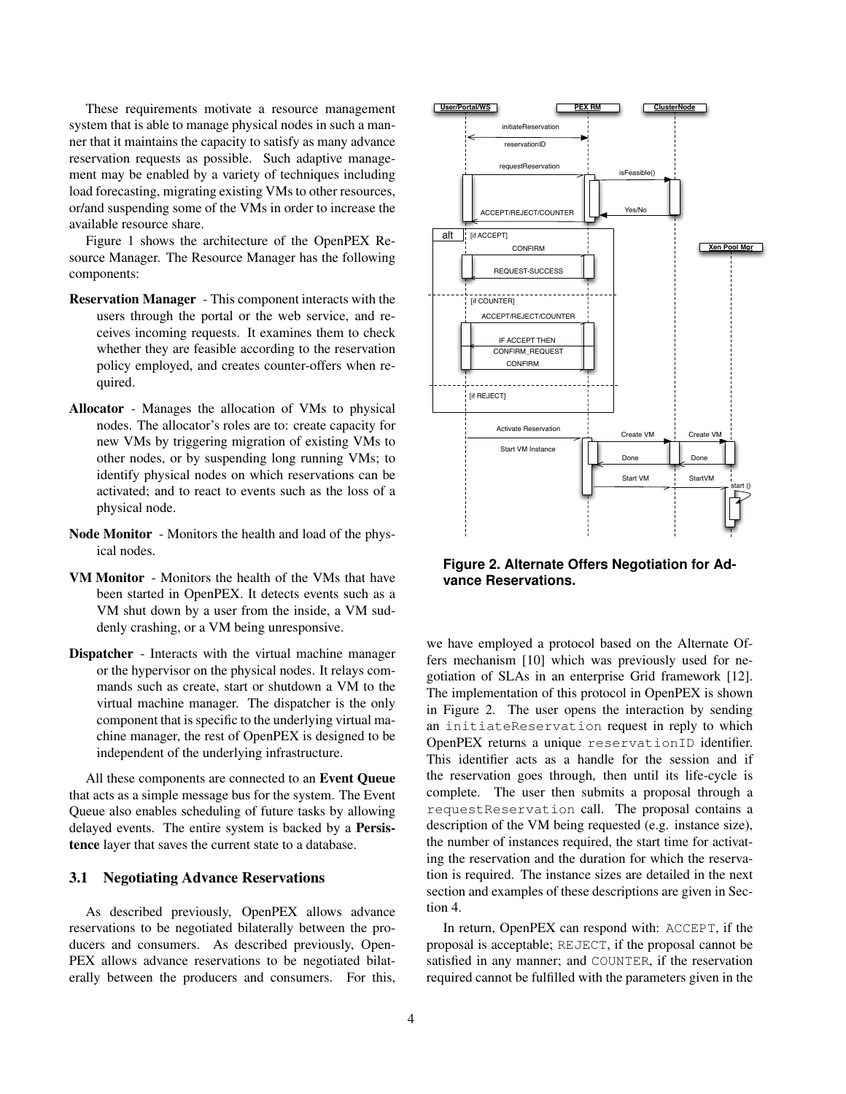These requirements motivate a resource management system that is able to manage physical nodes in such a manner that it maintains the capacity to satisfy as many advance reservation requests as possible. Such adaptive management may be enabled by a variety of techniques including load forecasting, migrating existing VMs to other resources, or/and suspending some of the VMs in order to increase the available resource share.

Figure 1 shows the architecture of the OpenPEX Resource Manager. The Resource Manager has the following components:

- Reservation Manager This component interacts with the users through the portal or the web service, and receives incoming requests. It examines them to check whether they are feasible according to the reservation policy employed, and creates counter-offers when required.
- Allocator Manages the allocation of VMs to physical nodes. The allocator's roles are to: create capacity for new VMs by triggering migration of existing VMs to other nodes, or by suspending long running VMs; to identify physical nodes on which reservations can be activated; and to react to events such as the loss of a physical node.
- Node Monitor Monitors the health and load of the physical nodes.
- VM Monitor Monitors the health of the VMs that have been started in OpenPEX. It detects events such as a VM shut down by a user from the inside, a VM suddenly crashing, or a VM being unresponsive.
- Dispatcher Interacts with the virtual machine manager or the hypervisor on the physical nodes. It relays commands such as create, start or shutdown a VM to the virtual machine manager. The dispatcher is the only component that is specific to the underlying virtual machine manager, the rest of OpenPEX is designed to be independent of the underlying infrastructure.

All these components are connected to an Event Queue that acts as a simple message bus for the system. The Event Queue also enables scheduling of future tasks by allowing delayed events. The entire system is backed by a Persistence layer that saves the current state to a database.

### 3.1 Negotiating Advance Reservations

As described previously, OpenPEX allows advance reservations to be negotiated bilaterally between the producers and consumers. As described previously, Open-PEX allows advance reservations to be negotiated bilaterally between the producers and consumers. For this,



**Figure 2. Alternate Offers Negotiation for Advance Reservations.**

we have employed a protocol based on the Alternate Offers mechanism [10] which was previously used for negotiation of SLAs in an enterprise Grid framework [12]. The implementation of this protocol in OpenPEX is shown in Figure 2. The user opens the interaction by sending an initiateReservation request in reply to which OpenPEX returns a unique reservationID identifier. This identifier acts as a handle for the session and if the reservation goes through, then until its life-cycle is complete. The user then submits a proposal through a requestReservation call. The proposal contains a description of the VM being requested (e.g. instance size), the number of instances required, the start time for activating the reservation and the duration for which the reservation is required. The instance sizes are detailed in the next section and examples of these descriptions are given in Section 4.

In return, OpenPEX can respond with: ACCEPT, if the proposal is acceptable; REJECT, if the proposal cannot be satisfied in any manner; and COUNTER, if the reservation required cannot be fulfilled with the parameters given in the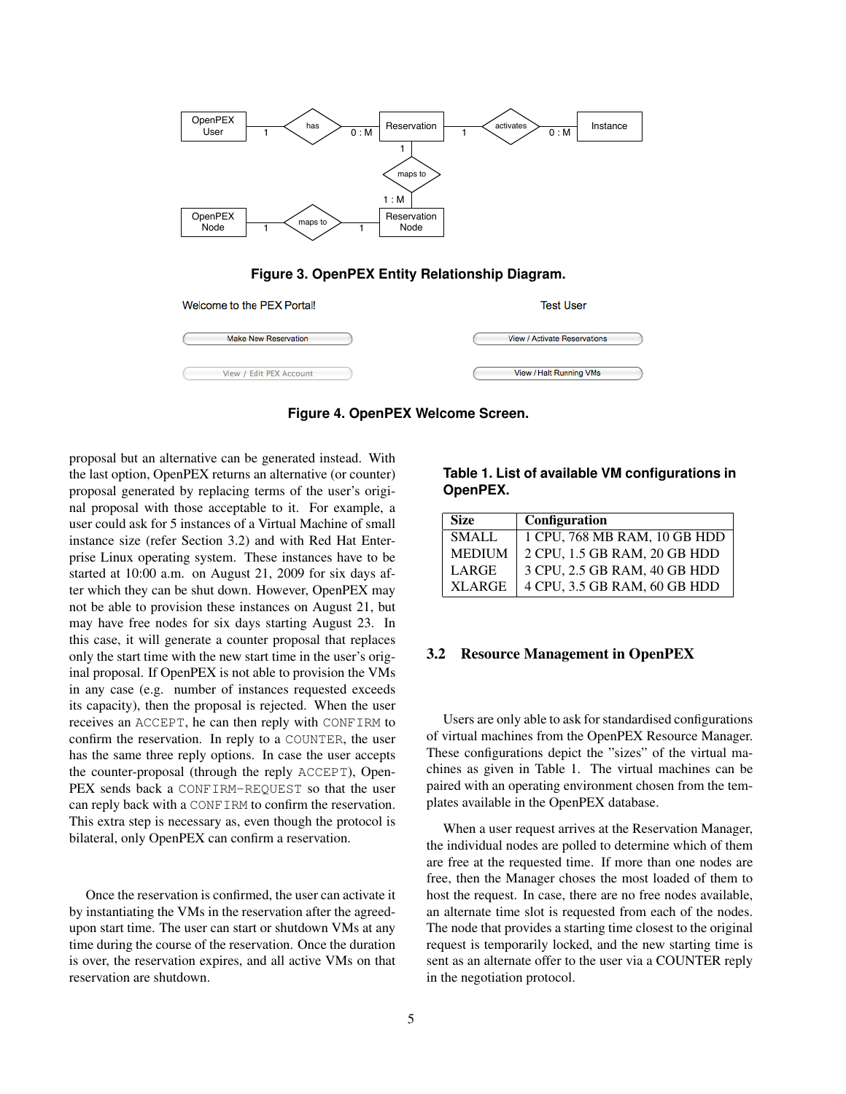

**Figure 3. OpenPEX Entity Relationship Diagram.**

| Welcome to the PEX Portal!  | <b>Test User</b>             |  |  |
|-----------------------------|------------------------------|--|--|
| <b>Make New Reservation</b> | View / Activate Reservations |  |  |
| View / Edit PEX Account     | View / Halt Running VMs      |  |  |

**Figure 4. OpenPEX Welcome Screen.**

proposal but an alternative can be generated instead. With the last option, OpenPEX returns an alternative (or counter) proposal generated by replacing terms of the user's original proposal with those acceptable to it. For example, a user could ask for 5 instances of a Virtual Machine of small instance size (refer Section 3.2) and with Red Hat Enterprise Linux operating system. These instances have to be started at 10:00 a.m. on August 21, 2009 for six days after which they can be shut down. However, OpenPEX may not be able to provision these instances on August 21, but may have free nodes for six days starting August 23. In this case, it will generate a counter proposal that replaces only the start time with the new start time in the user's original proposal. If OpenPEX is not able to provision the VMs in any case (e.g. number of instances requested exceeds its capacity), then the proposal is rejected. When the user receives an ACCEPT, he can then reply with CONFIRM to confirm the reservation. In reply to a COUNTER, the user has the same three reply options. In case the user accepts the counter-proposal (through the reply ACCEPT), Open-PEX sends back a CONFIRM-REQUEST so that the user can reply back with a CONFIRM to confirm the reservation. This extra step is necessary as, even though the protocol is bilateral, only OpenPEX can confirm a reservation.

Once the reservation is confirmed, the user can activate it by instantiating the VMs in the reservation after the agreedupon start time. The user can start or shutdown VMs at any time during the course of the reservation. Once the duration is over, the reservation expires, and all active VMs on that reservation are shutdown.

**Table 1. List of available VM configurations in OpenPEX.**

| <b>Size</b>   | Configuration                |
|---------------|------------------------------|
| SMALL         | 1 CPU, 768 MB RAM, 10 GB HDD |
| <b>MEDIUM</b> | 2 CPU, 1.5 GB RAM, 20 GB HDD |
| LARGE         | 3 CPU, 2.5 GB RAM, 40 GB HDD |
| <b>XLARGE</b> | 4 CPU, 3.5 GB RAM, 60 GB HDD |

### 3.2 Resource Management in OpenPEX

Users are only able to ask for standardised configurations of virtual machines from the OpenPEX Resource Manager. These configurations depict the "sizes" of the virtual machines as given in Table 1. The virtual machines can be paired with an operating environment chosen from the templates available in the OpenPEX database.

When a user request arrives at the Reservation Manager, the individual nodes are polled to determine which of them are free at the requested time. If more than one nodes are free, then the Manager choses the most loaded of them to host the request. In case, there are no free nodes available, an alternate time slot is requested from each of the nodes. The node that provides a starting time closest to the original request is temporarily locked, and the new starting time is sent as an alternate offer to the user via a COUNTER reply in the negotiation protocol.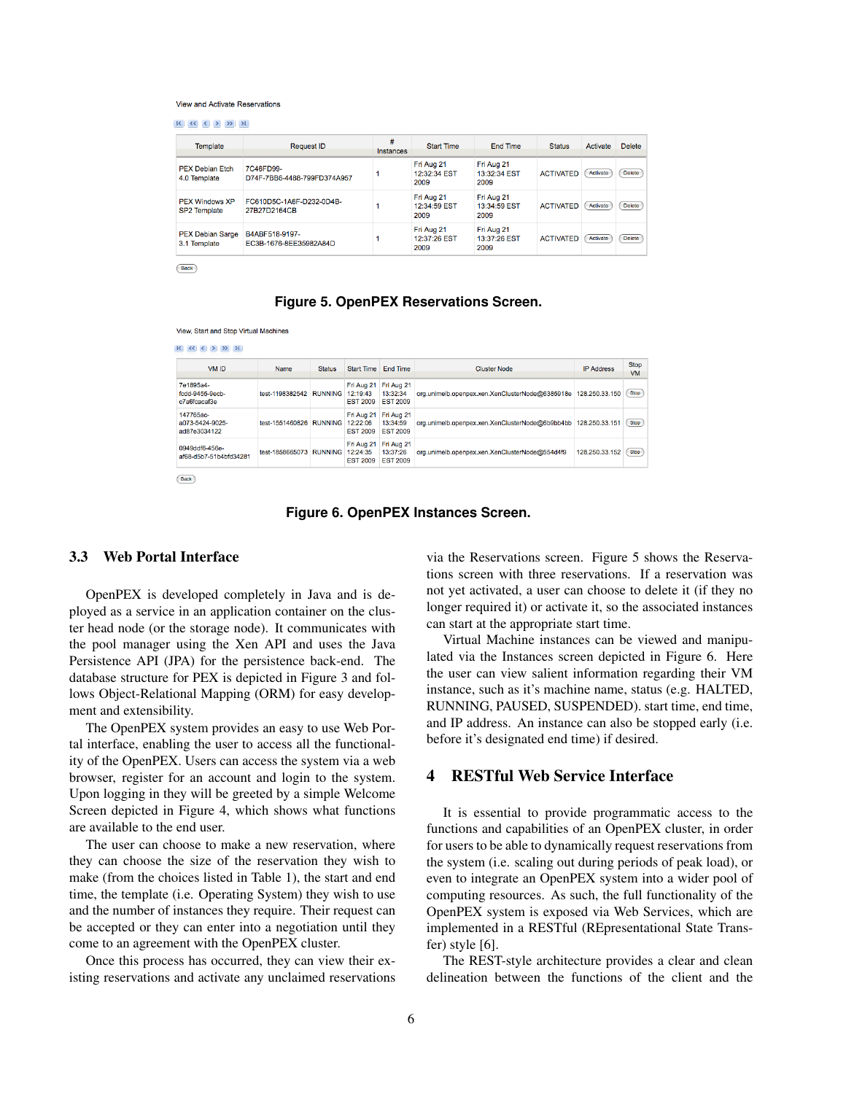#### View and Activate Reservations

|  | $\ll$ $\ll$ |  |  | $\rightarrow$ |  |
|--|-------------|--|--|---------------|--|
|--|-------------|--|--|---------------|--|

| Template                                     | <b>Request ID</b>                        | #<br>Instances | <b>Start Time</b>                  | End Time                           | <b>Status</b>    | Activate | <b>Delete</b> |
|----------------------------------------------|------------------------------------------|----------------|------------------------------------|------------------------------------|------------------|----------|---------------|
| <b>PEX Debian Etch</b><br>4.0 Template       | 7C46FD99-<br>D74F-7BB6-4488-799FD374A957 |                | Fri Aug 21<br>12:32:34 EST<br>2009 | Fri Aug 21<br>13:32:34 EST<br>2009 | <b>ACTIVATED</b> | Activate | Delete        |
| <b>PEX Windows XP</b><br><b>SP2</b> Template | FC610D5C-1A6F-D232-0D4B-<br>27B27D2164CB |                | Fri Aug 21<br>12:34:59 EST<br>2009 | Fri Aug 21<br>13:34:59 EST<br>2009 | <b>ACTIVATED</b> | Activate | Delete        |
| <b>PEX Debian Sarge</b><br>3.1 Template      | B4ABF518-9197-<br>EC3B-1676-8EE35982A84D |                | Fri Aug 21<br>12:37:26 EST<br>2009 | Fri Aug 21<br>13:37:26 EST<br>2009 | <b>ACTIVATED</b> | Activate | <b>Delete</b> |

Back

#### **Figure 5. OpenPEX Reservations Screen.**

View, Start and Stop Virtual Machines

| VM ID                                        | Name                             | <b>Status</b>           | <b>Start Time</b>                         | <b>End Time</b>                           | <b>Cluster Node</b>                             | <b>IP Address</b> | <b>Stop</b><br><b>VM</b> |
|----------------------------------------------|----------------------------------|-------------------------|-------------------------------------------|-------------------------------------------|-------------------------------------------------|-------------------|--------------------------|
| 7e1895a4-<br>fcdd-9455-9ecb-<br>c7a6fcacaf3e | test-1198382542                  | <b>RUNNING 12:19:43</b> | Fri Aug 21<br><b>EST 2009</b>             | Fri Aug 21<br>13:32:34<br><b>EST 2009</b> | org.unimelb.openpex.xen.XenClusterNode@6385918e | 128.250.33.150    | Stop                     |
| 147765ac-<br>a073-5424-9025-<br>ad87e3034122 | test-1551460826 RUNNING 12:22:06 |                         | Fri Aug 21<br><b>EST 2009</b>             | Fri Aug 21<br>13:34:59<br><b>EST 2009</b> | org.unimelb.openpex.xen.XenClusterNode@6b9bb4bb | 128.250.33.151    | Stop                     |
| 0949ddf6-456e-<br>af68-d5b7-51b4bfd34281     | test-1858665073 RUNNING          |                         | Fri Aug 21<br>12:24:35<br><b>EST 2009</b> | Fri Aug 21<br>13:37:26<br><b>EST 2009</b> | org.unimelb.openpex.xen.XenClusterNode@554d4f9  | 128.250.33.152    | Stop                     |

**Figure 6. OpenPEX Instances Screen.**

#### 3.3 Web Portal Interface

OpenPEX is developed completely in Java and is deployed as a service in an application container on the cluster head node (or the storage node). It communicates with the pool manager using the Xen API and uses the Java Persistence API (JPA) for the persistence back-end. The database structure for PEX is depicted in Figure 3 and follows Object-Relational Mapping (ORM) for easy development and extensibility.

The OpenPEX system provides an easy to use Web Portal interface, enabling the user to access all the functionality of the OpenPEX. Users can access the system via a web browser, register for an account and login to the system. Upon logging in they will be greeted by a simple Welcome Screen depicted in Figure 4, which shows what functions are available to the end user.

The user can choose to make a new reservation, where they can choose the size of the reservation they wish to make (from the choices listed in Table 1), the start and end time, the template (i.e. Operating System) they wish to use and the number of instances they require. Their request can be accepted or they can enter into a negotiation until they come to an agreement with the OpenPEX cluster.

Once this process has occurred, they can view their existing reservations and activate any unclaimed reservations via the Reservations screen. Figure 5 shows the Reservations screen with three reservations. If a reservation was not yet activated, a user can choose to delete it (if they no longer required it) or activate it, so the associated instances can start at the appropriate start time.

Virtual Machine instances can be viewed and manipulated via the Instances screen depicted in Figure 6. Here the user can view salient information regarding their VM instance, such as it's machine name, status (e.g. HALTED, RUNNING, PAUSED, SUSPENDED). start time, end time, and IP address. An instance can also be stopped early (i.e. before it's designated end time) if desired.

### 4 RESTful Web Service Interface

It is essential to provide programmatic access to the functions and capabilities of an OpenPEX cluster, in order for users to be able to dynamically request reservations from the system (i.e. scaling out during periods of peak load), or even to integrate an OpenPEX system into a wider pool of computing resources. As such, the full functionality of the OpenPEX system is exposed via Web Services, which are implemented in a RESTful (REpresentational State Transfer) style [6].

The REST-style architecture provides a clear and clean delineation between the functions of the client and the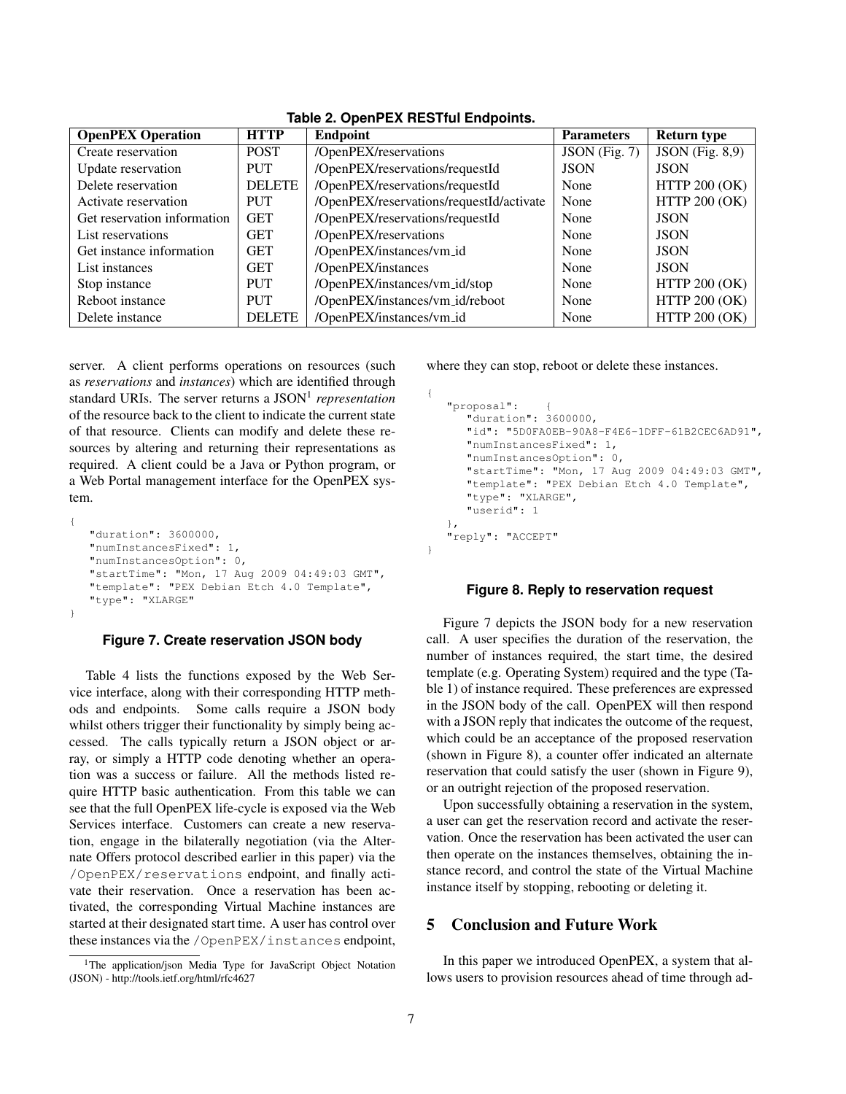| <b>OpenPEX Operation</b>    | <b>HTTP</b>   | Endpoint                                 | <b>Parameters</b> | <b>Return type</b>                  |
|-----------------------------|---------------|------------------------------------------|-------------------|-------------------------------------|
| Create reservation          | <b>POST</b>   | /OpenPEX/reservations                    | JSON (Fig. 7)     | $\overline{\text{JSON}}$ (Fig. 8,9) |
| Update reservation          | <b>PUT</b>    | /OpenPEX/reservations/requestId          | <b>JSON</b>       | <b>JSON</b>                         |
| Delete reservation          | <b>DELETE</b> | /OpenPEX/reservations/requestId          | None              | <b>HTTP 200 (OK)</b>                |
| Activate reservation        | <b>PUT</b>    | /OpenPEX/reservations/requestId/activate | None              | <b>HTTP 200 (OK)</b>                |
| Get reservation information | <b>GET</b>    | /OpenPEX/reservations/requestId          | None              | <b>JSON</b>                         |
| List reservations           | <b>GET</b>    | /OpenPEX/reservations                    | None              | <b>JSON</b>                         |
| Get instance information    | <b>GET</b>    | /OpenPEX/instances/vm_id                 | None              | <b>JSON</b>                         |
| List instances              | <b>GET</b>    | /OpenPEX/instances                       | None              | <b>JSON</b>                         |
| Stop instance               | <b>PUT</b>    | /OpenPEX/instances/vm_id/stop            | None              | <b>HTTP 200 (OK)</b>                |
| Reboot instance             | <b>PUT</b>    | /OpenPEX/instances/vm_id/reboot          | None              | <b>HTTP 200 (OK)</b>                |
| Delete instance             | <b>DELETE</b> | /OpenPEX/instances/vm_id                 | None              | <b>HTTP 200 (OK)</b>                |

**Table 2. OpenPEX RESTful Endpoints.**

server. A client performs operations on resources (such as *reservations* and *instances*) which are identified through standard URIs. The server returns a JSON<sup>1</sup> representation of the resource back to the client to indicate the current state of that resource. Clients can modify and delete these resources by altering and returning their representations as required. A client could be a Java or Python program, or a Web Portal management interface for the OpenPEX system.

```
{
   "duration": 3600000,
   "numInstancesFixed": 1,
  "numInstancesOption": 0,
  "startTime": "Mon, 17 Aug 2009 04:49:03 GMT",
  "template": "PEX Debian Etch 4.0 Template",
  "type": "XLARGE"
}
```
### **Figure 7. Create reservation JSON body**

Table 4 lists the functions exposed by the Web Service interface, along with their corresponding HTTP methods and endpoints. Some calls require a JSON body whilst others trigger their functionality by simply being accessed. The calls typically return a JSON object or array, or simply a HTTP code denoting whether an operation was a success or failure. All the methods listed require HTTP basic authentication. From this table we can see that the full OpenPEX life-cycle is exposed via the Web Services interface. Customers can create a new reservation, engage in the bilaterally negotiation (via the Alternate Offers protocol described earlier in this paper) via the /OpenPEX/reservations endpoint, and finally activate their reservation. Once a reservation has been activated, the corresponding Virtual Machine instances are started at their designated start time. A user has control over these instances via the /OpenPEX/instances endpoint,

```
<sup>1</sup>The application/json Media Type for JavaScript Object Notation
(JSON) - http://tools.ietf.org/html/rfc4627
```
where they can stop, reboot or delete these instances.

```
{
   "proposal": {
     "duration": 3600000,
      "id": "5D0FA0EB-90A8-F4E6-1DFF-61B2CEC6AD91",
      "numInstancesFixed": 1,
      "numInstancesOption": 0,
      "startTime": "Mon, 17 Aug 2009 04:49:03 GMT",
      "template": "PEX Debian Etch 4.0 Template",
      "type": "XLARGE",
      "userid": 1
   },
  "reply": "ACCEPT"
}
```
#### **Figure 8. Reply to reservation request**

Figure 7 depicts the JSON body for a new reservation call. A user specifies the duration of the reservation, the number of instances required, the start time, the desired template (e.g. Operating System) required and the type (Table 1) of instance required. These preferences are expressed in the JSON body of the call. OpenPEX will then respond with a JSON reply that indicates the outcome of the request, which could be an acceptance of the proposed reservation (shown in Figure 8), a counter offer indicated an alternate reservation that could satisfy the user (shown in Figure 9), or an outright rejection of the proposed reservation.

Upon successfully obtaining a reservation in the system, a user can get the reservation record and activate the reservation. Once the reservation has been activated the user can then operate on the instances themselves, obtaining the instance record, and control the state of the Virtual Machine instance itself by stopping, rebooting or deleting it.

#### 5 Conclusion and Future Work

In this paper we introduced OpenPEX, a system that allows users to provision resources ahead of time through ad-